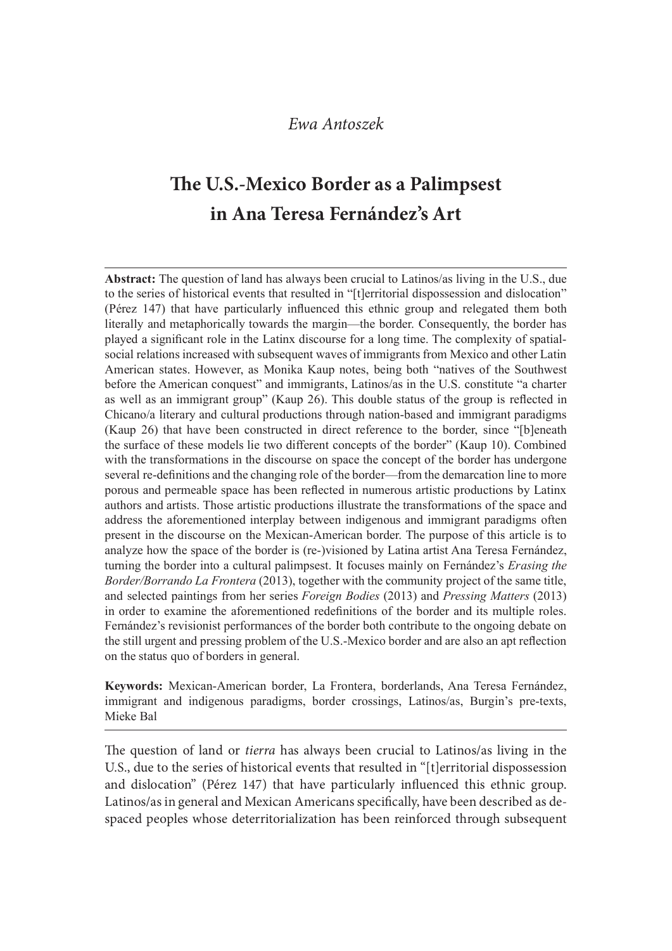# The U.S.-Mexico Border as a Palimpsest in Ana Teresa Fernández's Art

Abstract: The question of land has always been crucial to Latinos/as living in the U.S., due to the series of historical events that resulted in "[t]erritorial dispossession and dislocation" (Pérez 147) that have particularly influenced this ethnic group and relegated them both literally and metaphorically towards the margin—the border. Consequently, the border has played a significant role in the Latinx discourse for a long time. The complexity of spatialsocial relations increased with subsequent waves of immigrants from Mexico and other Latin **EVAN Antoszek**<br> **SPHULFD, S.-Mexico Border as a Palimpsest**<br> **in Ana Teresa Fernández's Art**<br>
Abstract: The question of land has always been crucial to Latinos/as living in the U.S., due<br>
to the series of historical even before the American conquest" and immigrants, Latinos/as in the U.S. constitute "a charter as well as an immigrant group" (Kaup 26). This double status of the group is reflected in Chicano/a literary and cultural productions through nation-based and immigrant paradigms (Kaup 26) that have been constructed in direct reference to the border, since "[b]eneath the surface of these models lie two different concepts of the border" (Kaup 10). Combined with the transformations in the discourse on space the concept of the border has undergone several re-definitions and the changing role of the border—from the demarcation line to more porous and permeable space has been reflected in numerous artistic productions by Latinx authors and artists. Those artistic productions illustrate the transformations of the space and address the aforementioned interplay between indigenous and immigrant paradigms often present in the discourse on the Mexican-American border. The purpose of this article is to analyze how the space of the border is (re-)visioned by Latina artist Ana Teresa Fernández. turning the border into a cultural palimpsest. It focuses mainly on Fernández's *Erasing the* Border/Borrando La Frontera (2013), together with the community project of the same title, and selected paintings from her series *Foreign Bodies* (2013) and *Pressing Matters* (2013) in order to examine the aforementioned redefinitions of the border and its multiple roles. Fernández's revisionist performances of the border both contribute to the ongoing debate on the still urgent and pressing problem of the U.S.-Mexico border and are also an apt reflection on the status quo of borders in general. (Kaup 26) that have been constructed in direct reference to the border, since "[b]eneath<br>the surface of these models lie two different concepts of the border" (Kanp 10). Combined<br>with the transformations in the discourse o

Keywords: Mexican-American border, La Frontera, borderlands, Ana Teresa Fernández, Mieke Bal

The question of land or *tierra* has always been crucial to Latinos/as living in the U.S., due to the series of historical events that resulted in "[t]erritorial dispossession and dislocation" (Pérez 147) that have particularly in{uenced this ethnic group. Latinos/as in general and Mexican Americans specifically, have been described as despaced peoples whose deterritorialization has been reinforced through subsequent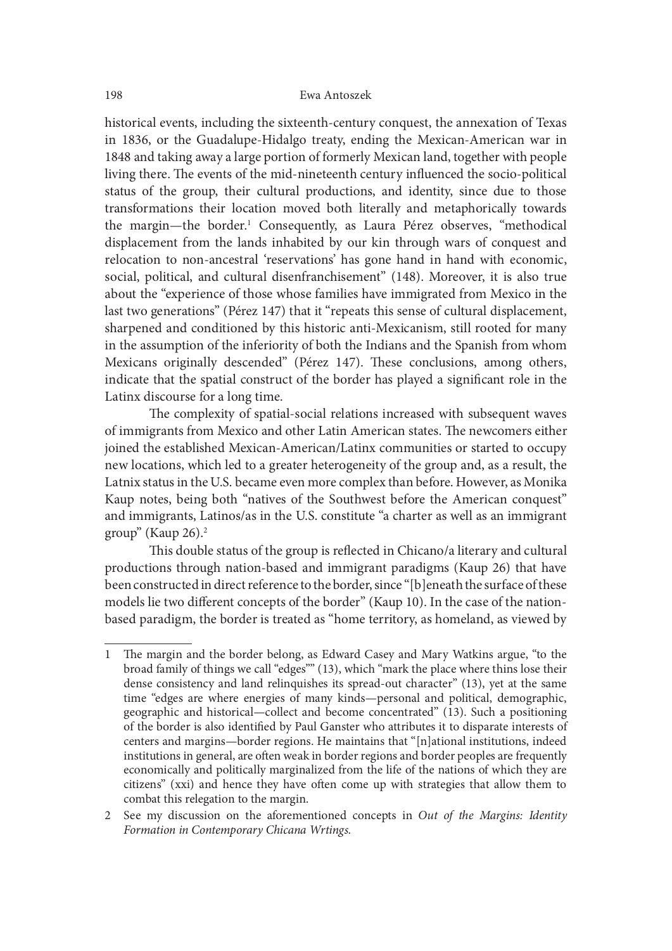historical events, including the sixteenth-century conquest, the annexation of Texas in 1836, or the Guadalupe-Hidalgo treaty, ending the Mexican-American war in 1848 and taking away a large portion of formerly Mexican land, together with people living there. The events of the mid-nineteenth century influenced the socio-political status of the group, their cultural productions, and identity, since due to those transformations their location moved both literally and metaphorically towards the margin—the border.<sup>1</sup> Consequently, as Laura Pérez observes, "methodical displacement from the lands inhabited by our kin through wars of conquest and relocation to non-ancestral 'reservations' has gone hand in hand with economic, social, political, and cultural disenfranchisement" (148). Moreover, it is also true about the "experience of those whose families have immigrated from Mexico in the last two generations" (Pérez 147) that it "repeats this sense of cultural displacement, sharpened and conditioned by this historic anti-Mexicanism, still rooted for many in the assumption of the inferiority of both the Indians and the Spanish from whom Mexicans originally descended" (Pérez 147). These conclusions, among others, indicate that the spatial construct of the border has played a significant role in the Latinx discourse for a long time.

The complexity of spatial-social relations increased with subsequent waves of immigrants from Mexico and other Latin American states. The newcomers either joined the established Mexican-American/Latinx communities or started to occupy new locations, which led to a greater heterogeneity of the group and, as a result, the Latnix status in the U.S. became even more complex than before. However, as Monika Kaup notes, being both "natives of the Southwest before the American conquest" and immigrants, Latinos/as in the U.S. constitute "a charter as well as an immigrant group" (Kaup  $26$ ).<sup>2</sup>

This double status of the group is reflected in Chicano/a literary and cultural productions through nation-based and immigrant paradigms (Kaup 26) that have been constructed in direct reference to the border, since "[b]eneath the surface of these models lie two different concepts of the border" (Kaup 10). In the case of the nationbased paradigm, the border is treated as "home territory, as homeland, as viewed by

<sup>1</sup> The margin and the border belong, as Edward Casey and Mary Watkins argue, "to the broad family of things we call "edges"" (13), which "mark the place where thins lose their dense consistency and land relinquishes its spread-out character" (13), yet at the same time "edges are where energies of many kinds—personal and political, demographic, geographic and historical—collect and become concentrated" (13). Such a positioning of the border is also identified by Paul Ganster who attributes it to disparate interests of centers and margins—border regions. He maintains that "[n]ational institutions, indeed institutions in general, are oten weak in border regions and border peoples are frequently economically and politically marginalized from the life of the nations of which they are citizens" (xxi) and hence they have oten come up with strategies that allow them to combat this relegation to the margin.

<sup>2</sup> See my discussion on the aforementioned concepts in Out of the Margins: Identity Formation in Contemporary Chicana Wrtings.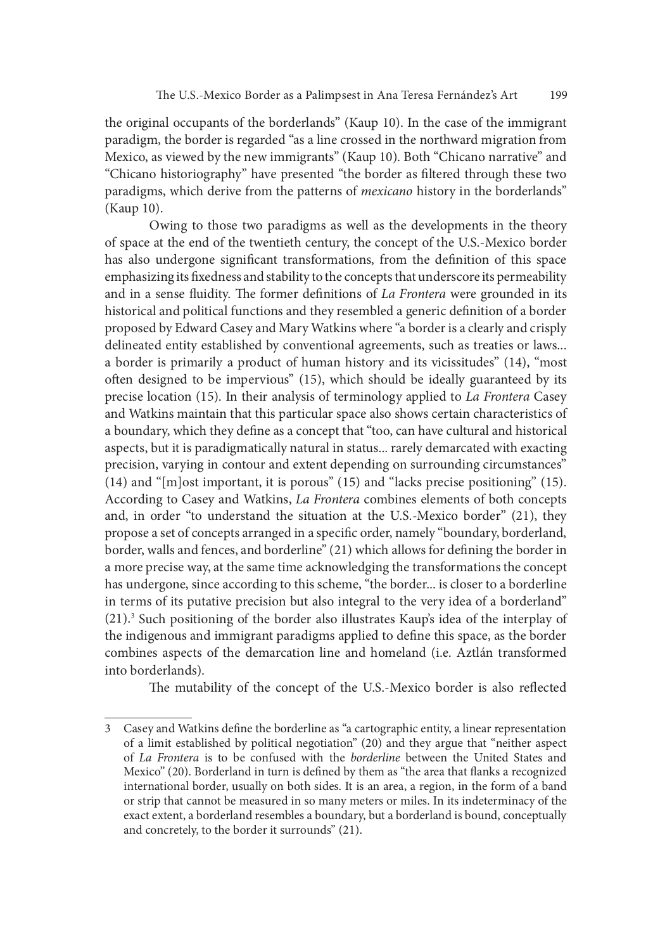the original occupants of the borderlands" (Kaup 10). In the case of the immigrant paradigm, the border is regarded "as a line crossed in the northward migration from Mexico, as viewed by the new immigrants" (Kaup 10). Both "Chicano narrative" and "Chicano historiography" have presented "the border as filtered through these two paradigms, which derive from the patterns of *mexicano* history in the borderlands" (Kaup 10).

Owing to those two paradigms as well as the developments in the theory of space at the end of the twentieth century, the concept of the U.S.-Mexico border has also undergone significant transformations, from the definition of this space emphasizing its fixedness and stability to the concepts that underscore its permeability and in a sense fluidity. The former definitions of La Frontera were grounded in its historical and political functions and they resembled a generic definition of a border proposed by Edward Casey and Mary Watkins where "a border is a clearly and crisply delineated entity established by conventional agreements, such as treaties or laws... a border is primarily a product of human history and its vicissitudes" (14), "most oten designed to be impervious" (15), which should be ideally guaranteed by its precise location (15). In their analysis of terminology applied to La Frontera Casey and Watkins maintain that this particular space also shows certain characteristics of a boundary, which they define as a concept that "too, can have cultural and historical aspects, but it is paradigmatically natural in status... rarely demarcated with exacting precision, varying in contour and extent depending on surrounding circumstances"  $(14)$  and " $[m]$ ost important, it is porous"  $(15)$  and "lacks precise positioning"  $(15)$ . According to Casey and Watkins, La Frontera combines elements of both concepts and, in order "to understand the situation at the U.S.-Mexico border" (21), they propose a set of concepts arranged in a specific order, namely "boundary, borderland, border, walls and fences, and borderline" (21) which allows for defining the border in a more precise way, at the same time acknowledging the transformations the concept has undergone, since according to this scheme, "the border... is closer to a borderline in terms of its putative precision but also integral to the very idea of a borderland" (21).3 Such positioning of the border also illustrates Kaup's idea of the interplay of the indigenous and immigrant paradigms applied to define this space, as the border combines aspects of the demarcation line and homeland (i.e. Aztlán transformed into borderlands).

The mutability of the concept of the U.S.-Mexico border is also reflected

<sup>3</sup> Casey and Watkins define the borderline as "a cartographic entity, a linear representation of a limit established by political negotiation" (20) and they argue that "neither aspect of La Frontera is to be confused with the borderline between the United States and Mexico" (20). Borderland in turn is defined by them as "the area that flanks a recognized international border, usually on both sides. It is an area, a region, in the form of a band or strip that cannot be measured in so many meters or miles. In its indeterminacy of the exact extent, a borderland resembles a boundary, but a borderland is bound, conceptually and concretely, to the border it surrounds" (21).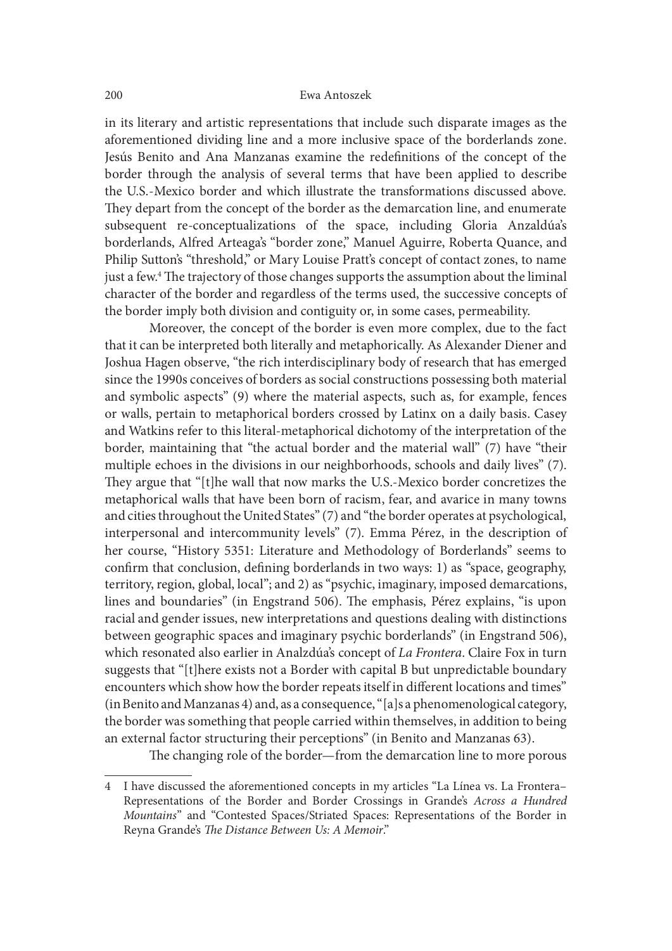in its literary and artistic representations that include such disparate images as the aforementioned dividing line and a more inclusive space of the borderlands zone. Jesús Benito and Ana Manzanas examine the redefinitions of the concept of the border through the analysis of several terms that have been applied to describe the U.S.-Mexico border and which illustrate the transformations discussed above. They depart from the concept of the border as the demarcation line, and enumerate subsequent re-conceptualizations of the space, including Gloria Anzaldúa's borderlands, Alfred Arteaga's "border zone," Manuel Aguirre, Roberta Quance, and Philip Sutton's "threshold," or Mary Louise Pratt's concept of contact zones, to name just a few.<sup>4</sup> The trajectory of those changes supports the assumption about the liminal character of the border and regardless of the terms used, the successive concepts of the border imply both division and contiguity or, in some cases, permeability.

Moreover, the concept of the border is even more complex, due to the fact that it can be interpreted both literally and metaphorically. As Alexander Diener and Joshua Hagen observe, "the rich interdisciplinary body of research that has emerged since the 1990s conceives of borders as social constructions possessing both material and symbolic aspects" (9) where the material aspects, such as, for example, fences or walls, pertain to metaphorical borders crossed by Latinx on a daily basis. Casey and Watkins refer to this literal-metaphorical dichotomy of the interpretation of the border, maintaining that "the actual border and the material wall" (7) have "their multiple echoes in the divisions in our neighborhoods, schools and daily lives" (7). They argue that "[t]he wall that now marks the U.S.-Mexico border concretizes the metaphorical walls that have been born of racism, fear, and avarice in many towns and cities throughout the United States" (7) and "the border operates at psychological, interpersonal and intercommunity levels" (7). Emma Pérez, in the description of her course, "History 5351: Literature and Methodology of Borderlands" seems to confirm that conclusion, defining borderlands in two ways: 1) as "space, geography, territory, region, global, local"; and 2) as "psychic, imaginary, imposed demarcations, lines and boundaries" (in Engstrand 506). The emphasis, Pérez explains, "is upon racial and gender issues, new interpretations and questions dealing with distinctions between geographic spaces and imaginary psychic borderlands" (in Engstrand 506), which resonated also earlier in Analzdúa's concept of La Frontera. Claire Fox in turn suggests that "[t]here exists not a Border with capital B but unpredictable boundary encounters which show how the border repeats itself in different locations and times" (in Benito and Manzanas 4) and, as a consequence, "[a]s a phenomenological category, the border was something that people carried within themselves, in addition to being an external factor structuring their perceptions" (in Benito and Manzanas 63).

The changing role of the border—from the demarcation line to more porous

<sup>4</sup> I have discussed the aforementioned concepts in my articles "La Línea vs. La Frontera– Representations of the Border and Border Crossings in Grande's Across a Hundred Mountains" and "Contested Spaces/Striated Spaces: Representations of the Border in Reyna Grande's The Distance Between Us: A Memoir."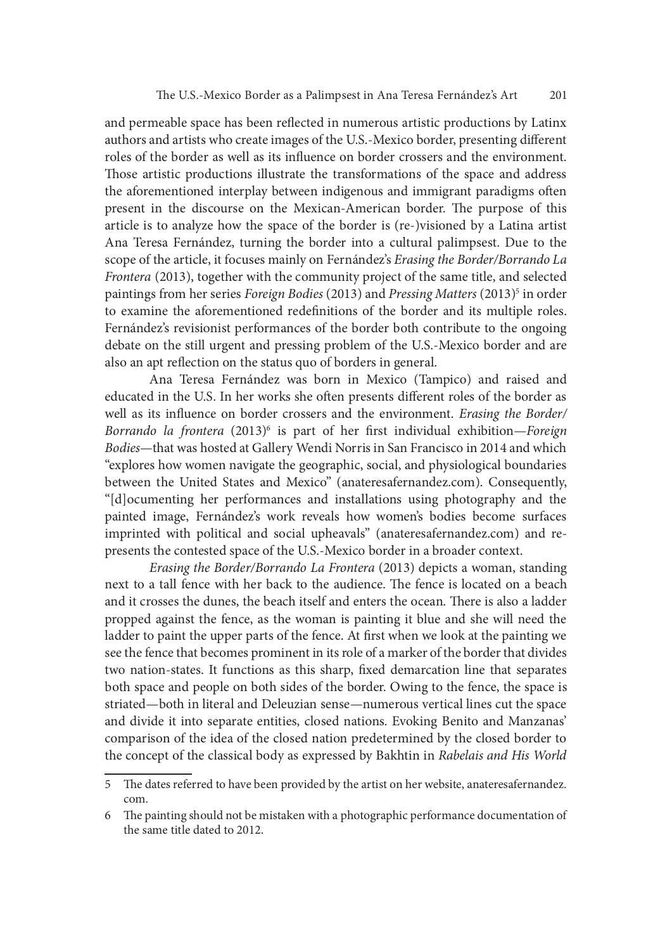and permeable space has been reflected in numerous artistic productions by Latinx authors and artists who create images of the U.S.-Mexico border, presenting different roles of the border as well as its in{uence on border crossers and the environment. Those artistic productions illustrate the transformations of the space and address the aforementioned interplay between indigenous and immigrant paradigms oten present in the discourse on the Mexican-American border. The purpose of this article is to analyze how the space of the border is (re-)visioned by a Latina artist Ana Teresa Fernández, turning the border into a cultural palimpsest. Due to the scope of the article, it focuses mainly on Fernández's Erasing the Border/Borrando La Frontera (2013), together with the community project of the same title, and selected paintings from her series *Foreign Bodies* (2013) and *Pressing Matters* (2013)<sup>5</sup> in order to examine the aforementioned redefinitions of the border and its multiple roles. Fernández's revisionist performances of the border both contribute to the ongoing debate on the still urgent and pressing problem of the U.S.-Mexico border and are also an apt reflection on the status quo of borders in general.

Ana Teresa Fernández was born in Mexico (Tampico) and raised and educated in the U.S. In her works she often presents different roles of the border as well as its influence on border crossers and the environment. Erasing the Border/ Borrando la frontera (2013)<sup>6</sup> is part of her first individual exhibition—Foreign Bodies—that was hosted at Gallery Wendi Norris in San Francisco in 2014 and which "explores how women navigate the geographic, social, and physiological boundaries between the United States and Mexico" (anateresafernandez.com). Consequently, "[d]ocumenting her performances and installations using photography and the painted image, Fernández's work reveals how women's bodies become surfaces imprinted with political and social upheavals" (anateresafernandez.com) and represents the contested space of the U.S.-Mexico border in a broader context.

Erasing the Border/Borrando La Frontera (2013) depicts a woman, standing next to a tall fence with her back to the audience. The fence is located on a beach and it crosses the dunes, the beach itself and enters the ocean. There is also a ladder propped against the fence, as the woman is painting it blue and she will need the ladder to paint the upper parts of the fence. At first when we look at the painting we see the fence that becomes prominent in its role of a marker of the border that divides two nation-states. It functions as this sharp, fixed demarcation line that separates both space and people on both sides of the border. Owing to the fence, the space is striated—both in literal and Deleuzian sense—numerous vertical lines cut the space and divide it into separate entities, closed nations. Evoking Benito and Manzanas' comparison of the idea of the closed nation predetermined by the closed border to the concept of the classical body as expressed by Bakhtin in Rabelais and His World

<sup>5</sup> The dates referred to have been provided by the artist on her website, anateresafernandez. com.

<sup>6</sup> The painting should not be mistaken with a photographic performance documentation of the same title dated to 2012.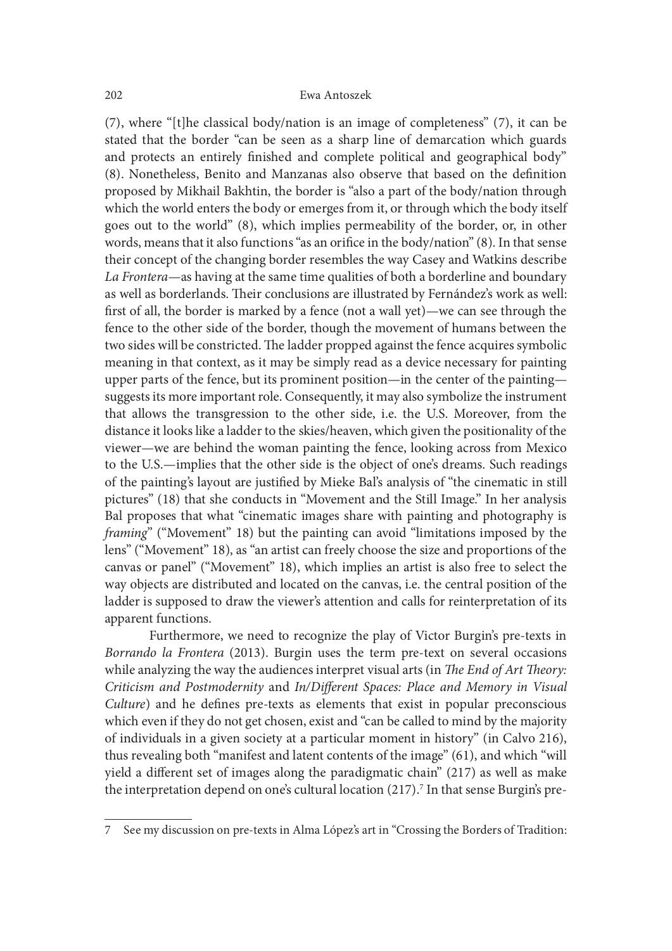(7), where "[t]he classical body/nation is an image of completeness" (7), it can be stated that the border "can be seen as a sharp line of demarcation which guards and protects an entirely finished and complete political and geographical body" (8). Nonetheless, Benito and Manzanas also observe that based on the definition proposed by Mikhail Bakhtin, the border is "also a part of the body/nation through which the world enters the body or emerges from it, or through which the body itself goes out to the world" (8), which implies permeability of the border, or, in other words, means that it also functions "as an orifice in the body/nation" (8). In that sense their concept of the changing border resembles the way Casey and Watkins describe La Frontera—as having at the same time qualities of both a borderline and boundary as well as borderlands. Their conclusions are illustrated by Fernández's work as well: first of all, the border is marked by a fence (not a wall yet)—we can see through the fence to the other side of the border, though the movement of humans between the two sides will be constricted. The ladder propped against the fence acquires symbolic meaning in that context, as it may be simply read as a device necessary for painting upper parts of the fence, but its prominent position—in the center of the painting suggests its more important role. Consequently, it may also symbolize the instrument that allows the transgression to the other side, i.e. the U.S. Moreover, from the distance it looks like a ladder to the skies/heaven, which given the positionality of the viewer—we are behind the woman painting the fence, looking across from Mexico to the U.S.—implies that the other side is the object of one's dreams. Such readings of the painting's layout are justified by Mieke Bal's analysis of "the cinematic in still pictures" (18) that she conducts in "Movement and the Still Image." In her analysis Bal proposes that what "cinematic images share with painting and photography is framing" ("Movement" 18) but the painting can avoid "limitations imposed by the lens" ("Movement" 18), as "an artist can freely choose the size and proportions of the canvas or panel" ("Movement" 18), which implies an artist is also free to select the way objects are distributed and located on the canvas, i.e. the central position of the ladder is supposed to draw the viewer's attention and calls for reinterpretation of its apparent functions.

Furthermore, we need to recognize the play of Victor Burgin's pre-texts in Borrando la Frontera (2013). Burgin uses the term pre-text on several occasions while analyzing the way the audiences interpret visual arts (in The End of Art Theory: Criticism and Postmodernity and In/Different Spaces: Place and Memory in Visual Culture) and he defines pre-texts as elements that exist in popular preconscious which even if they do not get chosen, exist and "can be called to mind by the majority of individuals in a given society at a particular moment in history" (in Calvo 216), thus revealing both "manifest and latent contents of the image" (61), and which "will yield a different set of images along the paradigmatic chain"  $(217)$  as well as make the interpretation depend on one's cultural location (217).<sup>7</sup> In that sense Burgin's pre-

<sup>7</sup> See my discussion on pre-texts in Alma López's art in "Crossing the Borders of Tradition: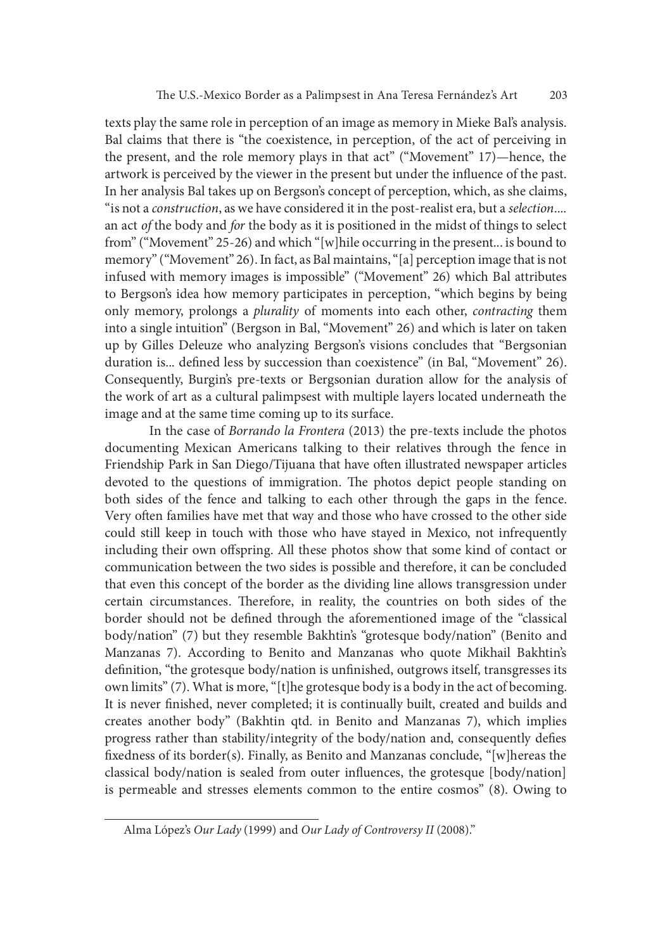texts play the same role in perception of an image as memory in Mieke Bal's analysis. Bal claims that there is "the coexistence, in perception, of the act of perceiving in the present, and the role memory plays in that act" ("Movement" 17)—hence, the artwork is perceived by the viewer in the present but under the in{uence of the past. In her analysis Bal takes up on Bergson's concept of perception, which, as she claims, "is not a *construction*, as we have considered it in the post-realist era, but a *selection*.... an act *of* the body and *for* the body as it is positioned in the midst of things to select from" ("Movement" 25-26) and which "[w]hile occurring in the present... is bound to memory" ("Movement" 26). In fact, as Bal maintains, "[a] perception image that is not infused with memory images is impossible" ("Movement" 26) which Bal attributes to Bergson's idea how memory participates in perception, "which begins by being only memory, prolongs a plurality of moments into each other, contracting them into a single intuition" (Bergson in Bal, "Movement" 26) and which is later on taken up by Gilles Deleuze who analyzing Bergson's visions concludes that "Bergsonian duration is... defined less by succession than coexistence" (in Bal, "Movement" 26). Consequently, Burgin's pre-texts or Bergsonian duration allow for the analysis of the work of art as a cultural palimpsest with multiple layers located underneath the image and at the same time coming up to its surface.

In the case of Borrando la Frontera (2013) the pre-texts include the photos documenting Mexican Americans talking to their relatives through the fence in Friendship Park in San Diego/Tijuana that have oten illustrated newspaper articles devoted to the questions of immigration. The photos depict people standing on both sides of the fence and talking to each other through the gaps in the fence. Very oten families have met that way and those who have crossed to the other side could still keep in touch with those who have stayed in Mexico, not infrequently including their own offspring. All these photos show that some kind of contact or communication between the two sides is possible and therefore, it can be concluded that even this concept of the border as the dividing line allows transgression under certain circumstances. Therefore, in reality, the countries on both sides of the border should not be defined through the aforementioned image of the "classical body/nation" (7) but they resemble Bakhtin's "grotesque body/nation" (Benito and Manzanas 7). According to Benito and Manzanas who quote Mikhail Bakhtin's definition, "the grotesque body/nation is unfinished, outgrows itself, transgresses its own limits" (7). What is more, "[t]he grotesque body is a body in the act of becoming. It is never finished, never completed; it is continually built, created and builds and creates another body" (Bakhtin qtd. in Benito and Manzanas 7), which implies progress rather than stability/integrity of the body/nation and, consequently defies fixedness of its border(s). Finally, as Benito and Manzanas conclude, "[w]hereas the classical body/nation is sealed from outer influences, the grotesque [body/nation] is permeable and stresses elements common to the entire cosmos" (8). Owing to

Alma López's Our Lady (1999) and Our Lady of Controversy II (2008)."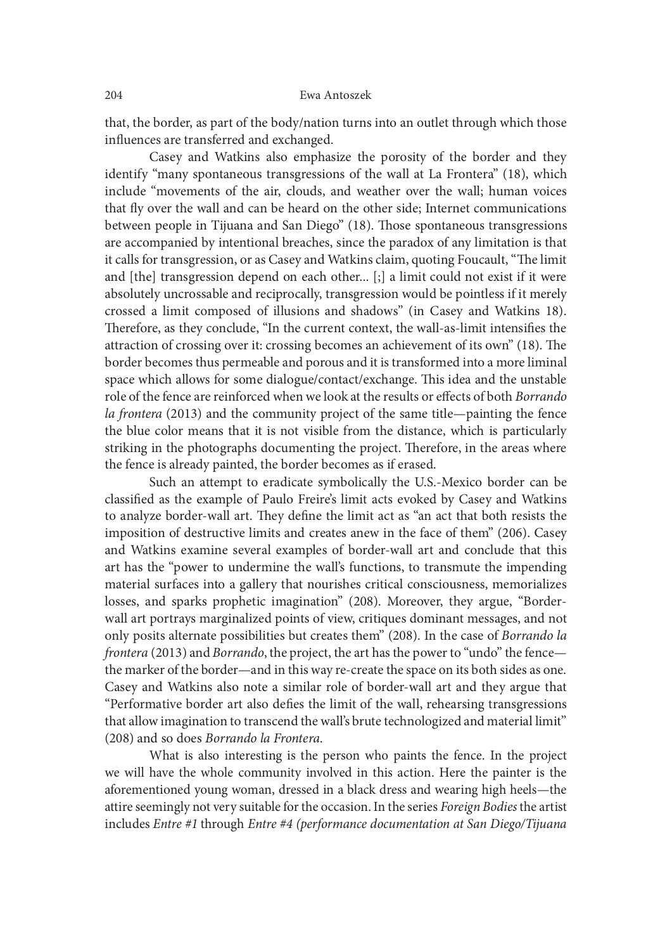that, the border, as part of the body/nation turns into an outlet through which those influences are transferred and exchanged.

Casey and Watkins also emphasize the porosity of the border and they identify "many spontaneous transgressions of the wall at La Frontera" (18), which include "movements of the air, clouds, and weather over the wall; human voices that {y over the wall and can be heard on the other side; Internet communications between people in Tijuana and San Diego" (18). Those spontaneous transgressions are accompanied by intentional breaches, since the paradox of any limitation is that it calls for transgression, or as Casey and Watkins claim, quoting Foucault, "The limit and [the] transgression depend on each other... [;] a limit could not exist if it were absolutely uncrossable and reciprocally, transgression would be pointless if it merely crossed a limit composed of illusions and shadows" (in Casey and Watkins 18). Therefore, as they conclude, "In the current context, the wall-as-limit intensifies the attraction of crossing over it: crossing becomes an achievement of its own" (18). The border becomes thus permeable and porous and it is transformed into a more liminal space which allows for some dialogue/contact/exchange. This idea and the unstable role of the fence are reinforced when we look at the results or effects of both Borrando la frontera (2013) and the community project of the same title—painting the fence the blue color means that it is not visible from the distance, which is particularly striking in the photographs documenting the project. Therefore, in the areas where the fence is already painted, the border becomes as if erased.

Such an attempt to eradicate symbolically the U.S.-Mexico border can be classified as the example of Paulo Freire's limit acts evoked by Casey and Watkins to analyze border-wall art. They define the limit act as "an act that both resists the imposition of destructive limits and creates anew in the face of them" (206). Casey and Watkins examine several examples of border-wall art and conclude that this art has the "power to undermine the wall's functions, to transmute the impending material surfaces into a gallery that nourishes critical consciousness, memorializes losses, and sparks prophetic imagination" (208). Moreover, they argue, "Borderwall art portrays marginalized points of view, critiques dominant messages, and not only posits alternate possibilities but creates them" (208). In the case of Borrando la frontera (2013) and Borrando, the project, the art has the power to "undo" the fence the marker of the border—and in this way re-create the space on its both sides as one. Casey and Watkins also note a similar role of border-wall art and they argue that "Performative border art also defies the limit of the wall, rehearsing transgressions that allow imagination to transcend the wall's brute technologized and material limit" (208) and so does Borrando la Frontera. What is also interesting is the person who paints the fence. In the project

we will have the whole community involved in this action. Here the painter is the aforementioned young woman, dressed in a black dress and wearing high heels—the attire seemingly not very suitable for the occasion. In the series Foreign Bodies the artist includes Entre #1 through Entre #4 (performance documentation at San Diego/Tijuana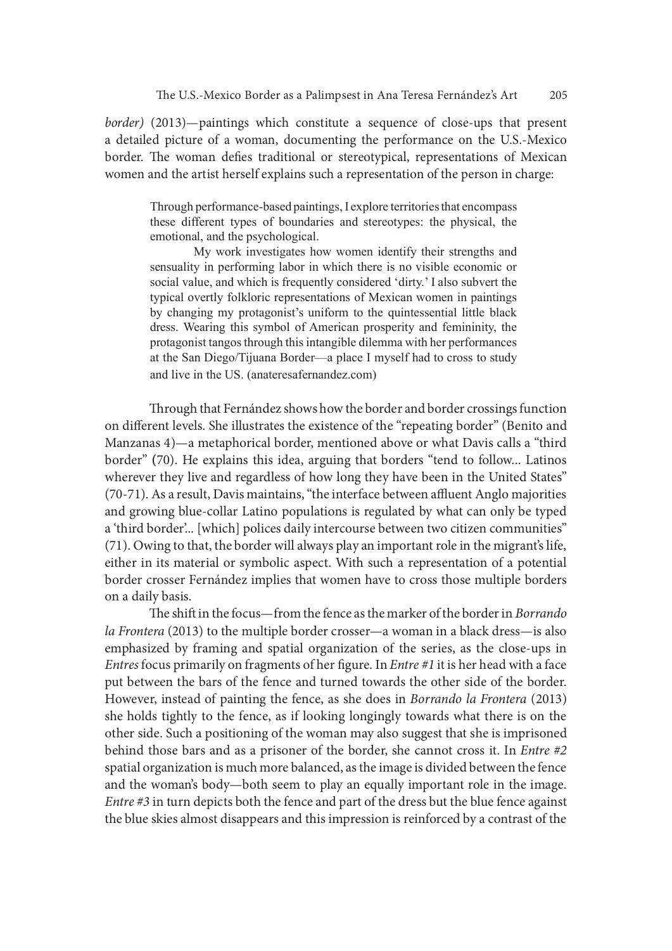border) (2013)—paintings which constitute a sequence of close-ups that present a detailed picture of a woman, documenting the performance on the U.S.-Mexico border. The woman defies traditional or stereotypical, representations of Mexican women and the artist herself explains such a representation of the person in charge: The U.S.-Mexico Border as a Palimpsest in Ana Teresa Fernández's Art 205 (2013)—paintings which constitute a sequence of close-ups that present de picture of a woman, documenting the performance on the U.S.-Mexico The woma

Through performance-based paintings, I explore territories that encompass emotional, and the psychological.

6).-Mexico Border as a Palimpsest in Ana Teresa Fernández's Art 205<br>-paintings which constitute a sequence of close-ups that present<br>re of a woman, documenting the performance on the U.S.-Mexico<br>man defies traditional or s sensuality in performing labor in which there is no visible economic or social value, and which is frequently considered 'dirty.' I also subvert the typical overtly folkloric representations of Mexican women in paintings The U.S.-Mexico Border as a Palimpsest in Ana Teresa Fernández's Art 205 (2013)—paintings which constitute a sequence of close-ups that present dy picture of a woman, documenting the performance on the U.S.-Mexico The woma The U.S.-Mexico Border as a Palimpsest in Ana Teresa Fernández's Art 205 (2013)—paintings which constitute a sequence of close-ups that present ed picture of a woman, documenting the performance on the U.S.-Mexico The woma protagonist tangos through this intangible dilemma with her performances at the San Diego/Tijuana Border—a place I myself had to cross to study and live in the US. (anateresafernandez.com)

Through that Fernández shows how the border and border crossings function on different levels. She illustrates the existence of the "repeating border" (Benito and Manzanas 4)—a metaphorical border, mentioned above or what Davis calls a "third border" (70). He explains this idea, arguing that borders "tend to follow... Latinos wherever they live and regardless of how long they have been in the United States"  $(70-71)$ . As a result, Davis maintains, "the interface between affluent Anglo majorities and growing blue-collar Latino populations is regulated by what can only be typed a 'third border'... [which] polices daily intercourse between two citizen communities" (71). Owing to that, the border will always play an important role in the migrant's life, either in its material or symbolic aspect. With such a representation of a potential border crosser Fernández implies that women have to cross those multiple borders on a daily basis.

The shift in the focus—from the fence as the marker of the border in Borrando la Frontera (2013) to the multiple border crosser—a woman in a black dress—is also emphasized by framing and spatial organization of the series, as the close-ups in Entres focus primarily on fragments of her figure. In Entre #1 it is her head with a face put between the bars of the fence and turned towards the other side of the border. However, instead of painting the fence, as she does in Borrando la Frontera (2013) she holds tightly to the fence, as if looking longingly towards what there is on the other side. Such a positioning of the woman may also suggest that she is imprisoned behind those bars and as a prisoner of the border, she cannot cross it. In Entre #2 spatial organization is much more balanced, as the image is divided between the fence and the woman's body—both seem to play an equally important role in the image. Entre #3 in turn depicts both the fence and part of the dress but the blue fence against the blue skies almost disappears and this impression is reinforced by a contrast of the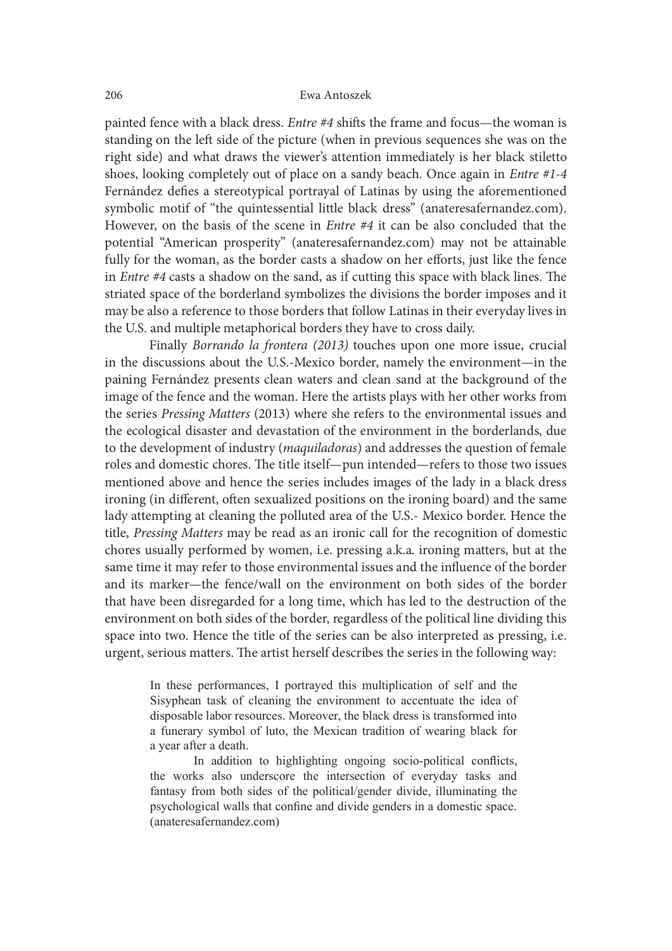painted fence with a black dress. Entre #4 shits the frame and focus—the woman is standing on the left side of the picture (when in previous sequences she was on the right side) and what draws the viewer's attention immediately is her black stiletto shoes, looking completely out of place on a sandy beach. Once again in Entre #1-4 Fernández defies a stereotypical portrayal of Latinas by using the aforementioned symbolic motif of "the quintessential little black dress" (anateresafernandez.com). However, on the basis of the scene in Entre #4 it can be also concluded that the potential "American prosperity" (anateresafernandez.com) may not be attainable fully for the woman, as the border casts a shadow on her efforts, just like the fence in *Entre*  $#4$  casts a shadow on the sand, as if cutting this space with black lines. The striated space of the borderland symbolizes the divisions the border imposes and it may be also a reference to those borders that follow Latinas in their everyday lives in the U.S. and multiple metaphorical borders they have to cross daily.

Finally Borrando la frontera (2013) touches upon one more issue, crucial in the discussions about the U.S.-Mexico border, namely the environment—in the paining Fernández presents clean waters and clean sand at the background of the image of the fence and the woman. Here the artists plays with her other works from the series Pressing Matters (2013) where she refers to the environmental issues and the ecological disaster and devastation of the environment in the borderlands, due to the development of industry (maquiladoras) and addresses the question of female roles and domestic chores. The title itself—pun intended—refers to those two issues mentioned above and hence the series includes images of the lady in a black dress ironing (in different, often sexualized positions on the ironing board) and the same lady attempting at cleaning the polluted area of the U.S.- Mexico border. Hence the title, Pressing Matters may be read as an ironic call for the recognition of domestic chores usually performed by women, i.e. pressing a.k.a. ironing matters, but at the same time it may refer to those environmental issues and the influence of the border and its marker—the fence/wall on the environment on both sides of the border that have been disregarded for a long time, which has led to the destruction of the environment on both sides of the border, regardless of the political line dividing this space into two. Hence the title of the series can be also interpreted as pressing, i.e. urgent, serious matters. The artist herself describes the series in the following way: ss *Pressing Matters* (2013) where she refers to the environmental issues and gogical disaster and devastation of the environment in the borderlands, due welopment of industry (*maquiladoras*) and addresses the question of vvectopincin or incutary *y miquimatorius*) and eatnesses the question or ichiant products. The title itself—pun intended—refers to those two issues ed above and hence the series includes images of the lady in a black dres (in different, often sexualized positions on the ironing board) and the same mying at cleaning the polluted area of the U.S.- Mexico border. Hence the staring *natters* may be read as an ironic call for the recognition of myting at cleaning the polluted area of the U.S.- Mexico border. Hence the *sising Matters* may be read as an ironic call for the recognition of domestic susually performed by women, i.e. pressing a.k.a. ironing matters, b

Sisyphean task of cleaning the environment to accentuate the idea of disposable labor resources. Moreover, the black dress is transformed into a year after a death.

In addition to highlighting ongoing socio-political conflicts, psychological walls that confine and divide genders in a domestic space. (anateresafernandez.com)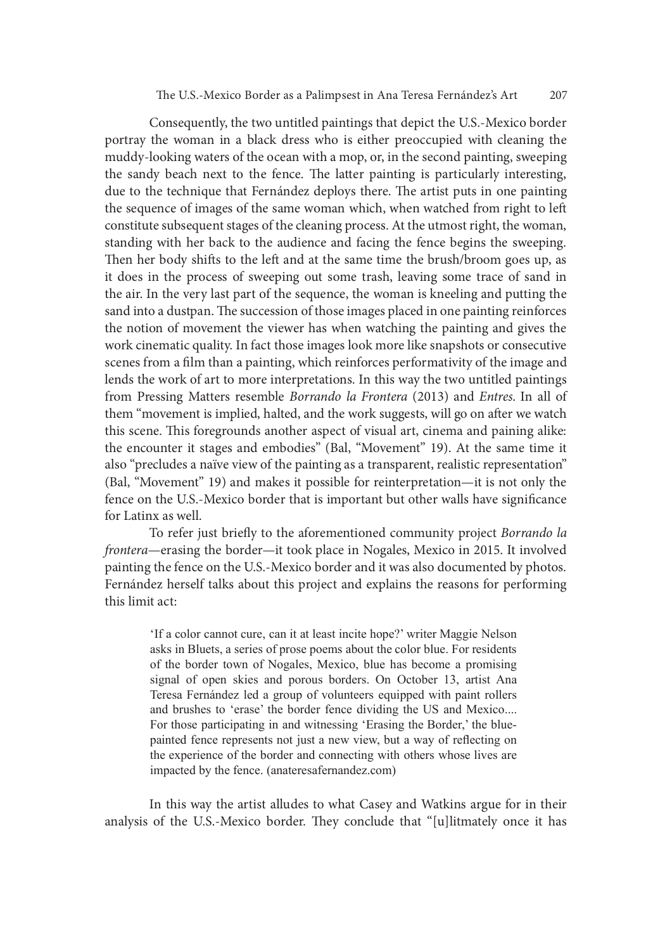Consequently, the two untitled paintings that depict the U.S.-Mexico border portray the woman in a black dress who is either preoccupied with cleaning the muddy-looking waters of the ocean with a mop, or, in the second painting, sweeping the sandy beach next to the fence. The latter painting is particularly interesting, due to the technique that Fernández deploys there. The artist puts in one painting the sequence of images of the same woman which, when watched from right to left constitute subsequent stages of the cleaning process. At the utmost right, the woman, standing with her back to the audience and facing the fence begins the sweeping. Then her body shifts to the left and at the same time the brush/broom goes up, as it does in the process of sweeping out some trash, leaving some trace of sand in the air. In the very last part of the sequence, the woman is kneeling and putting the sand into a dustpan. The succession of those images placed in one painting reinforces the notion of movement the viewer has when watching the painting and gives the work cinematic quality. In fact those images look more like snapshots or consecutive scenes from a film than a painting, which reinforces performativity of the image and lends the work of art to more interpretations. In this way the two untitled paintings from Pressing Matters resemble Borrando la Frontera (2013) and Entres. In all of them "movement is implied, halted, and the work suggests, will go on after we watch this scene. This foregrounds another aspect of visual art, cinema and paining alike: the encounter it stages and embodies" (Bal, "Movement" 19). At the same time it also "precludes a naïve view of the painting as a transparent, realistic representation" (Bal, "Movement" 19) and makes it possible for reinterpretation—it is not only the fence on the U.S.-Mexico border that is important but other walls have significance for Latinx as well.

To refer just briefly to the aforementioned community project Borrando la frontera—erasing the border—it took place in Nogales, Mexico in 2015. It involved painting the fence on the U.S.-Mexico border and it was also documented by photos. Fernández herself talks about this project and explains the reasons for performing this limit act:

'If a color cannot cure, can it at least incite hope?' writer Maggie Nelson asks in Bluets, a series of prose poems about the color blue. For residents of the border town of Nogales, Mexico, blue has become a promising signal of open skies and porous borders. On October 13, artist Ana Teresa Fernández led a group of volunteers equipped with paint rollers e. Ins foregrounds another aspect of visual art, cuema and painting alisec-<br>unter it stages and embodies" (Bal, "Movement" 19). At the same time it<br>covement" 19) and makes it possible for reinterpretation—it is not only th the experience of the border and connecting with others whose lives are impacted by the fence. (anateresafernandez.com)

In this way the artist alludes to what Casey and Watkins argue for in their analysis of the U.S.-Mexico border. They conclude that "[u]litmately once it has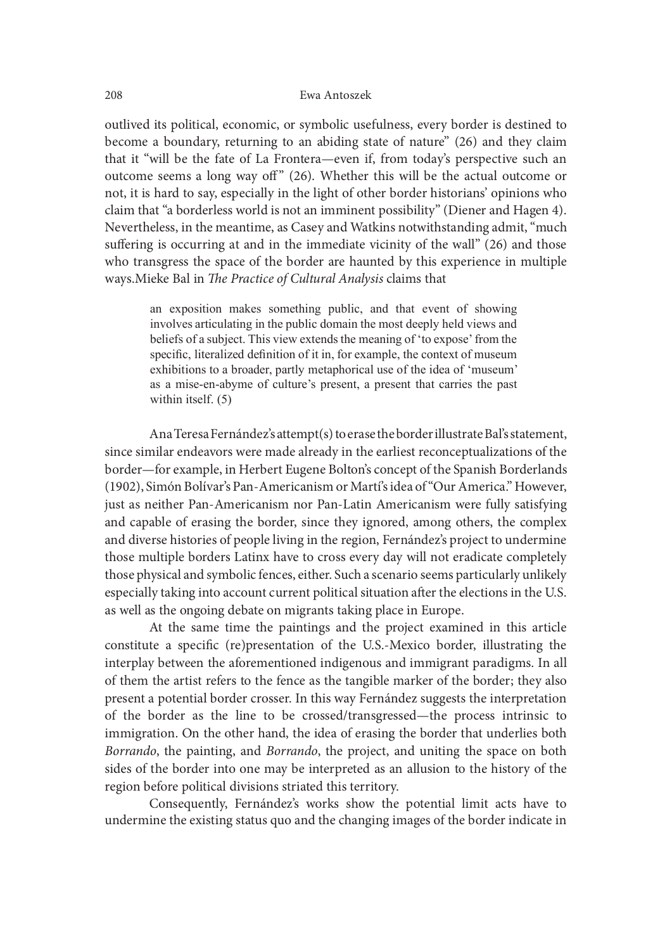outlived its political, economic, or symbolic usefulness, every border is destined to become a boundary, returning to an abiding state of nature" (26) and they claim that it "will be the fate of La Frontera—even if, from today's perspective such an outcome seems a long way off" (26). Whether this will be the actual outcome or not, it is hard to say, especially in the light of other border historians' opinions who claim that "a borderless world is not an imminent possibility" (Diener and Hagen 4). Nevertheless, in the meantime, as Casey and Watkins notwithstanding admit, "much suffering is occurring at and in the immediate vicinity of the wall" (26) and those who transgress the space of the border are haunted by this experience in multiple ways. Mieke Bal in The Practice of Cultural Analysis claims that Eva Antoszek<br>
its political, economic, or symbolic usefulness, every border is destined to<br>
a boundary, returning to an abiding state of nature" (26) and they claim<br>
will be the fate of La Frontera—even if, from today's pe

involves articulating in the public domain the most deeply held views and beliefs of a subject. This view extends the meaning of 'to expose' from the specific, literalized definition of it in, for example, the context of museum exhibitions to a broader, partly metaphorical use of the idea of 'museum' as a mise-en-abyme of culture's present, a present that carries the past within itself.  $(5)$ 

Ana Teresa Fernández's attempt(s) to erase the border illustrate Bal's statement, since similar endeavors were made already in the earliest reconceptualizations of the border—for example, in Herbert Eugene Bolton's concept of the Spanish Borderlands (1902), Simón Bolívar's Pan-Americanism or Martí's idea of "Our America." However, just as neither Pan-Americanism nor Pan-Latin Americanism were fully satisfying and capable of erasing the border, since they ignored, among others, the complex and diverse histories of people living in the region, Fernández's project to undermine those multiple borders Latinx have to cross every day will not eradicate completely those physical and symbolic fences, either. Such a scenario seems particularly unlikely especially taking into account current political situation ater the elections in the U.S. as well as the ongoing debate on migrants taking place in Europe.

At the same time the paintings and the project examined in this article constitute a specific (re)presentation of the U.S.-Mexico border, illustrating the interplay between the aforementioned indigenous and immigrant paradigms. In all of them the artist refers to the fence as the tangible marker of the border; they also present a potential border crosser. In this way Fernández suggests the interpretation of the border as the line to be crossed/transgressed—the process intrinsic to immigration. On the other hand, the idea of erasing the border that underlies both Borrando, the painting, and Borrando, the project, and uniting the space on both sides of the border into one may be interpreted as an allusion to the history of the region before political divisions striated this territory.

Consequently, Fernández's works show the potential limit acts have to undermine the existing status quo and the changing images of the border indicate in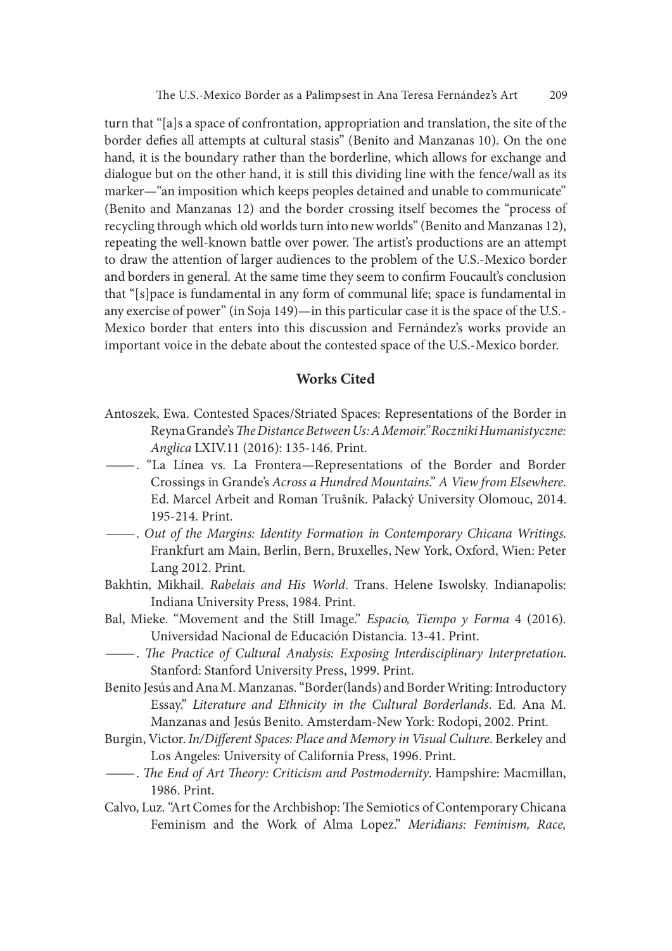turn that "[a]s a space of confrontation, appropriation and translation, the site of the border defies all attempts at cultural stasis" (Benito and Manzanas 10). On the one hand, it is the boundary rather than the borderline, which allows for exchange and dialogue but on the other hand, it is still this dividing line with the fence/wall as its marker—"an imposition which keeps peoples detained and unable to communicate" (Benito and Manzanas 12) and the border crossing itself becomes the "process of recycling through which old worlds turn into new worlds" (Benito and Manzanas 12), repeating the well-known battle over power. The artist's productions are an attempt to draw the attention of larger audiences to the problem of the U.S.-Mexico border and borders in general. At the same time they seem to confirm Foucault's conclusion that "[s]pace is fundamental in any form of communal life; space is fundamental in any exercise of power" (in Soja 149)—in this particular case it is the space of the U.S.- Mexico border that enters into this discussion and Fernández's works provide an important voice in the debate about the contested space of the U.S.-Mexico border.

### Works Cited

- Antoszek, Ewa. Contested Spaces/Striated Spaces: Representations of the Border in Reyna Grande's The Distance Between Us: A Memoir." Roczniki Humanistyczne:
- Anglica LXIV.11 (2016): 135-146. Print.<br>
——. "La Línea vs. La Frontera—Representations of the Border and Border<br>
Crossings in Grande's Across a Hundred Mountains." A View from Elsewhere. Ed. Marcel Arbeit and Roman Trušník. Palacký University Olomouc, 2014.
- 195-214. Print.<br> —. Out of the Margins: Identity Formation in Contemporary Chicana Writings.<br> Frankfurt am Main, Berlin, Bern, Bruxelles, New York, Oxford, Wien: Peter Lang 2012. Print.
- Bakhtin, Mikhail. Rabelais and His World. Trans. Helene Iswolsky. Indianapolis: Indiana University Press, 1984. Print.
- Bal, Mieke. "Movement and the Still Image." *Espacio, Tiempo y Forma* 4 (2016).
- Universidad Nacional de Educación Distancia. 13-41. Print.<br>
—. The Practice of Cultural Analysis: Exposing Interdisciplinary Interpretation.<br>
Stanford: Stanford University Press, 1999. Print.
- Benito Jesús and Ana M. Manzanas. "Border(lands) and Border Writing: Introductory Essay." Literature and Ethnicity in the Cultural Borderlands. Ed. Ana M. Manzanas and Jesús Benito. Amsterdam-New York: Rodopi, 2002. Print.
- Burgin, Victor. In/Different Spaces: Place and Memory in Visual Culture. Berkeley and Los Angeles: University of California Press, 1996. Print.<br>
— The End of Art Theory: Criticism and Postmodernity. Hampshire: Macmillan,
- 1986. Print.
- Calvo, Luz. "Art Comes for the Archbishop: The Semiotics of Contemporary Chicana Feminism and the Work of Alma Lopez." Meridians: Feminism, Race,